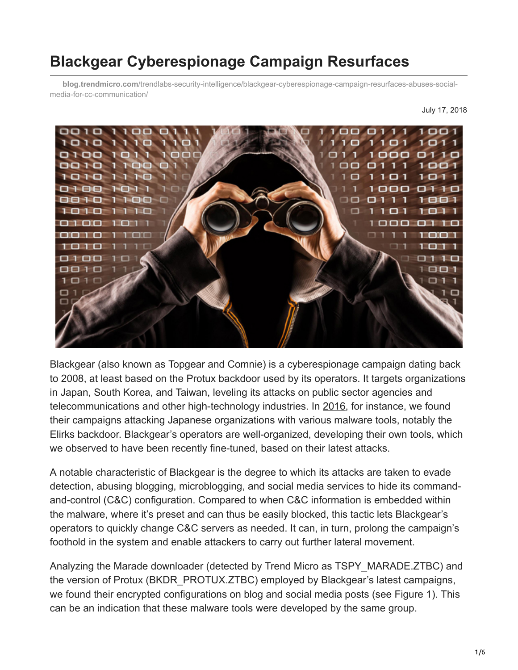# **Blackgear Cyberespionage Campaign Resurfaces**

**blog.trendmicro.com**[/trendlabs-security-intelligence/blackgear-cyberespionage-campaign-resurfaces-abuses-social](https://blog.trendmicro.com/trendlabs-security-intelligence/blackgear-cyberespionage-campaign-resurfaces-abuses-social-media-for-cc-communication/)media-for-cc-communication/

July 17, 2018



Blackgear (also known as Topgear and Comnie) is a cyberespionage campaign dating back to [2008](http://www.theregister.co.uk/2013/03/01/sinkhole_research_uncovers_cyberspy_victims/), at least based on the Protux backdoor used by its operators. It targets organizations in Japan, South Korea, and Taiwan, leveling its attacks on public sector agencies and telecommunications and other high-technology industries. In [2016,](https://blog.trendmicro.com/trendlabs-security-intelligence/blackgear-espionage-campaign-evolves-adds-japan-target-list/) for instance, we found their campaigns attacking Japanese organizations with various malware tools, notably the Elirks backdoor. Blackgear's operators are well-organized, developing their own tools, which we observed to have been recently fine-tuned, based on their latest attacks.

A notable characteristic of Blackgear is the degree to which its attacks are taken to evade detection, abusing blogging, microblogging, and social media services to hide its commandand-control (C&C) configuration. Compared to when C&C information is embedded within the malware, where it's preset and can thus be easily blocked, this tactic lets Blackgear's operators to quickly change C&C servers as needed. It can, in turn, prolong the campaign's foothold in the system and enable attackers to carry out further lateral movement.

Analyzing the Marade downloader (detected by Trend Micro as TSPY\_MARADE.ZTBC) and the version of Protux (BKDR\_PROTUX.ZTBC) employed by Blackgear's latest campaigns, we found their encrypted configurations on blog and social media posts (see Figure 1). This can be an indication that these malware tools were developed by the same group.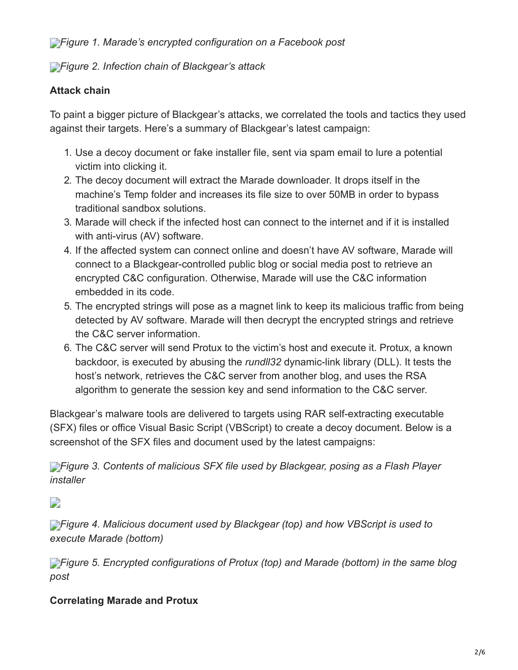*[F](https://blog.trendmicro.com/content/dam/trendmicro/global/en/migrated/security-intelligence-migration-spreadsheet/trendlabs-security-intelligence/2018/07/blackgear-1.png)igure 1. Marade's encrypted configuration on a Facebook post*

## *[F](https://blog.trendmicro.com/content/dam/trendmicro/global/en/migrated/security-intelligence-migration-spreadsheet/trendlabs-security-intelligence/2018/07/blackgear-2.jpg)igure 2. Infection chain of Blackgear's attack*

## **Attack chain**

To paint a bigger picture of Blackgear's attacks, we correlated the tools and tactics they used against their targets. Here's a summary of Blackgear's latest campaign:

- 1. Use a decoy document or fake installer file, sent via spam email to lure a potential victim into clicking it.
- 2. The decoy document will extract the Marade downloader. It drops itself in the machine's Temp folder and increases its file size to over 50MB in order to bypass traditional sandbox solutions.
- 3. Marade will check if the infected host can connect to the internet and if it is installed with anti-virus (AV) software.
- 4. If the affected system can connect online and doesn't have AV software, Marade will connect to a Blackgear-controlled public blog or social media post to retrieve an encrypted C&C configuration. Otherwise, Marade will use the C&C information embedded in its code.
- 5. The encrypted strings will pose as a magnet link to keep its malicious traffic from being detected by AV software. Marade will then decrypt the encrypted strings and retrieve the C&C server information.
- 6. The C&C server will send Protux to the victim's host and execute it. Protux, a known backdoor, is executed by abusing the *rundll32* dynamic-link library (DLL). It tests the host's network, retrieves the C&C server from another blog, and uses the RSA algorithm to generate the session key and send information to the C&C server.

Blackgear's malware tools are delivered to targets using RAR self-extracting executable (SFX) files or office Visual Basic Script (VBScript) to create a decoy document. Below is a screenshot of the SFX files and document used by the latest campaigns:

*[F](https://blog.trendmicro.com/content/dam/trendmicro/global/en/migrated/security-intelligence-migration-spreadsheet/trendlabs-security-intelligence/2018/07/blackgear-3.png)igure 3. Contents of malicious SFX file used by Blackgear, posing as a Flash Player installer*

 $\Box$ 

**[F](https://blog.trendmicro.com/content/dam/trendmicro/global/en/migrated/security-intelligence-migration-spreadsheet/trendlabs-security-intelligence/2018/07/blackgear-4-2.png)igure 4. Malicious document used by Blackgear (top) and how VBScript is used to** *execute Marade (bottom)*

*[F](https://blog.trendmicro.com/trendlabs-security-intelligence/files/2018/07/blackgear-4-5.png)igure 5. Encrypted configurations of Protux (top) and Marade (bottom) in the same blog post*

### **Correlating Marade and Protux**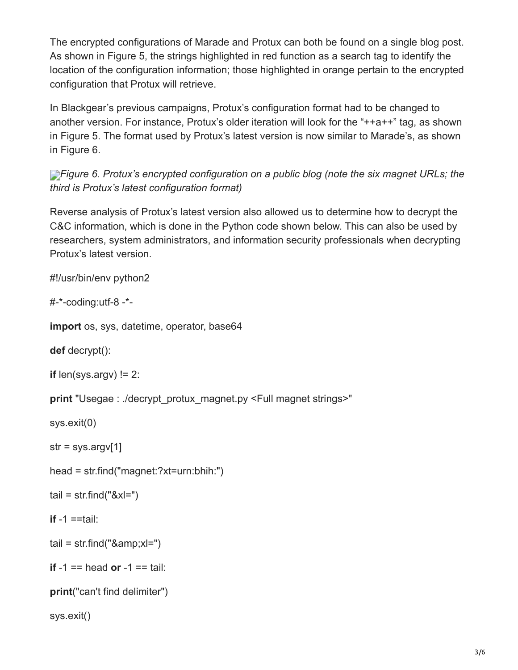The encrypted configurations of Marade and Protux can both be found on a single blog post. As shown in Figure 5, the strings highlighted in red function as a search tag to identify the location of the configuration information; those highlighted in orange pertain to the encrypted configuration that Protux will retrieve.

In Blackgear's previous campaigns, Protux's configuration format had to be changed to another version. For instance, Protux's older iteration will look for the "++a++" tag, as shown in Figure 5. The format used by Protux's latest version is now similar to Marade's, as shown in Figure 6.

**[F](https://blog.trendmicro.com/content/dam/trendmicro/global/en/migrated/security-intelligence-migration-spreadsheet/trendlabs-security-intelligence/2018/07/blackgear-6.png)***Figure 6. Protux's encrypted configuration on a public blog (note the six magnet URLs; the third is Protux's latest configuration format)*

Reverse analysis of Protux's latest version also allowed us to determine how to decrypt the C&C information, which is done in the Python code shown below. This can also be used by researchers, system administrators, and information security professionals when decrypting Protux's latest version.

#!/usr/bin/env python2

#-\*-coding:utf-8 -\*-

**import** os, sys, datetime, operator, base64

**def** decrypt():

```
if len(sys.argv) != 2:
```
**print** "Usegae : ./decrypt\_protux\_magnet.py <Full magnet strings>"

sys.exit(0)

 $str = sys.argv[1]$ 

head = str.find("magnet:?xt=urn:bhih:")

```
tail = str.find("&xI="
```
**if** -1 ==tail:

```
tail = str.find("&;x=")
```

```
if -1 == head or -1 == tail:
```

```
print("can't find delimiter")
```
sys.exit()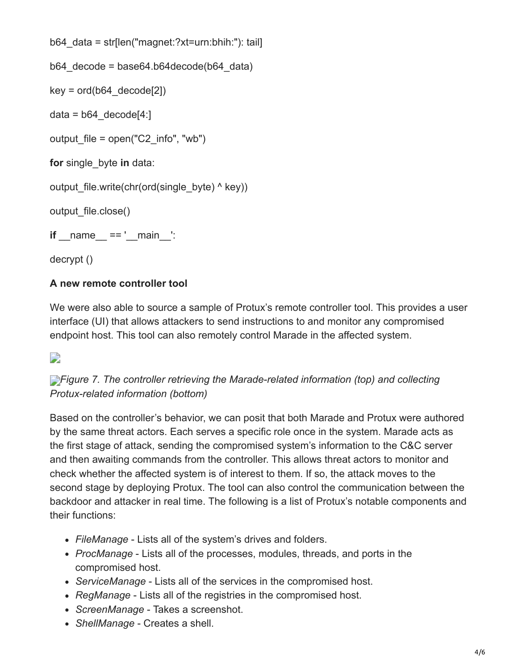```
b64_data = str[len("magnet:?xt=urn:bhih:"): tail]
b64 decode = base64.b64decode(b64 data)
key = ord(b64 \ decode[2])data = b64 decode[4:]
output file = open("C2 info", "wb")for single_byte in data:
output_file.write(chr(ord(single_byte) ^ key))
output_file.close()
if name == ' main ':
decrypt ()
```
#### **A new remote controller tool**

We were also able to source a sample of Protux's remote controller tool. This provides a user interface (UI) that allows attackers to send instructions to and monitor any compromised endpoint host. This tool can also remotely control Marade in the affected system.

#### D

**[F](https://blog.trendmicro.com/content/dam/trendmicro/global/en/migrated/security-intelligence-migration-spreadsheet/trendlabs-security-intelligence/2018/07/blackgear-7-2.png)**<sup>*igure 7. The controller retrieving the Marade-related information (top) and collecting*</sup> *Protux-related information (bottom)*

Based on the controller's behavior, we can posit that both Marade and Protux were authored by the same threat actors. Each serves a specific role once in the system. Marade acts as the first stage of attack, sending the compromised system's information to the C&C server and then awaiting commands from the controller. This allows threat actors to monitor and check whether the affected system is of interest to them. If so, the attack moves to the second stage by deploying Protux. The tool can also control the communication between the backdoor and attacker in real time. The following is a list of Protux's notable components and their functions:

- *FileManage* Lists all of the system's drives and folders.
- *ProcManage* Lists all of the processes, modules, threads, and ports in the compromised host.
- *ServiceManage* Lists all of the services in the compromised host.
- *RegManage* Lists all of the registries in the compromised host.
- *ScreenManage* Takes a screenshot.
- *ShellManage* Creates a shell.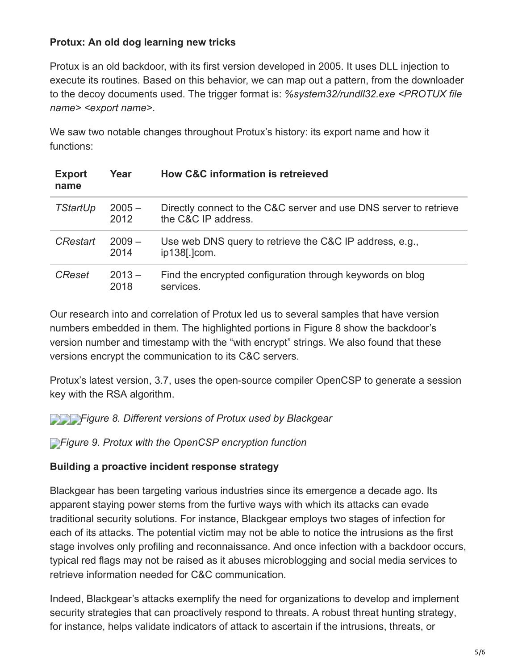#### **Protux: An old dog learning new tricks**

Protux is an old backdoor, with its first version developed in 2005. It uses DLL injection to execute its routines. Based on this behavior, we can map out a pattern, from the downloader to the decoy documents used. The trigger format is: *%system32/rundll32.exe <PROTUX file name> <export name>*.

We saw two notable changes throughout Protux's history: its export name and how it functions:

| <b>Export</b><br>name | Year             | <b>How C&amp;C information is retreleved</b>                                             |
|-----------------------|------------------|------------------------------------------------------------------------------------------|
| <b>TStartUp</b>       | $2005 -$<br>2012 | Directly connect to the C&C server and use DNS server to retrieve<br>the C&C IP address. |
| <b>CRestart</b>       | $2009 -$<br>2014 | Use web DNS query to retrieve the C&C IP address, e.g.,<br>ip138[.]com.                  |
| <b>CReset</b>         | $2013 -$<br>2018 | Find the encrypted configuration through keywords on blog<br>services.                   |

Our research into and correlation of Protux led us to several samples that have version numbers embedded in them. The highlighted portions in Figure 8 show the backdoor's version number and timestamp with the "with encrypt" strings. We also found that these versions encrypt the communication to its C&C servers.

Protux's latest version, 3.7, uses the open-source compiler OpenCSP to generate a session key with the RSA algorithm.

*[F](https://blog.trendmicro.com/content/dam/trendmicro/global/en/migrated/security-intelligence-migration-spreadsheet/trendlabs-security-intelligence/2018/07/blackgear-8-3.png)igure 8. Different versions of Protux used by Blackgear*

*[F](https://blog.trendmicro.com/content/dam/trendmicro/global/en/migrated/security-intelligence-migration-spreadsheet/trendlabs-security-intelligence/2018/07/blackgear-9.png)igure 9. Protux with the OpenCSP encryption function*

#### **Building a proactive incident response strategy**

Blackgear has been targeting various industries since its emergence a decade ago. Its apparent staying power stems from the furtive ways with which its attacks can evade traditional security solutions. For instance, Blackgear employs two stages of infection for each of its attacks. The potential victim may not be able to notice the intrusions as the first stage involves only profiling and reconnaissance. And once infection with a backdoor occurs, typical red flags may not be raised as it abuses microblogging and social media services to retrieve information needed for C&C communication.

Indeed, Blackgear's attacks exemplify the need for organizations to develop and implement security strategies that can proactively respond to threats. A robust [threat hunting strategy](https://blog.trendmicro.com/en_us/business/products/detection-response/managed-xdr-mdr.html), for instance, helps validate indicators of attack to ascertain if the intrusions, threats, or